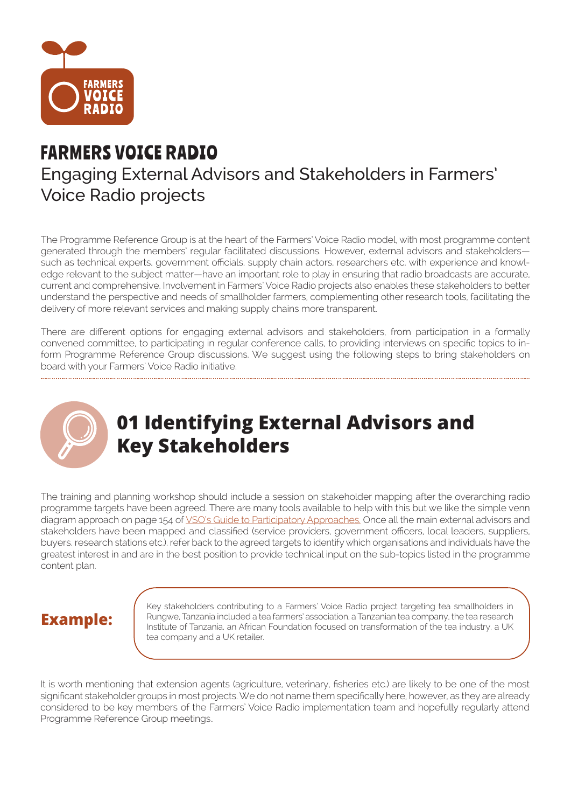

### FARMERS VOICE RADIO Engaging External Advisors and Stakeholders in Farmers' Voice Radio projects

The Programme Reference Group is at the heart of the Farmers' Voice Radio model, with most programme content generated through the members' regular facilitated discussions. However, external advisors and stakeholders such as technical experts, government officials, supply chain actors, researchers etc. with experience and knowledge relevant to the subject matter—have an important role to play in ensuring that radio broadcasts are accurate, current and comprehensive. Involvement in Farmers' Voice Radio projects also enables these stakeholders to better understand the perspective and needs of smallholder farmers, complementing other research tools, facilitating the delivery of more relevant services and making supply chains more transparent.

There are different options for engaging external advisors and stakeholders, from participation in a formally convened committee, to participating in regular conference calls, to providing interviews on specific topics to inform Programme Reference Group discussions. We suggest using the following steps to bring stakeholders on board with your Farmers' Voice Radio initiative.



# **01 Identifying External Advisors and Key Stakeholders**

The training and planning workshop should include a session on stakeholder mapping after the overarching radio programme targets have been agreed. There are many tools available to help with this but we like the simple venn diagram approach on page 154 of VSO's Guide to Participatory Approaches. Once all the main external advisors and stakeholders have been mapped and classified (service providers, government officers, local leaders, suppliers, buyers, research stations etc.), refer back to the agreed targets to identify which organisations and individuals have the greatest interest in and are in the best position to provide technical input on the sub-topics listed in the programme content plan.

#### **Example:**

Key stakeholders contributing to a Farmers' Voice Radio project targeting tea smallholders in Rungwe, Tanzania included a tea farmers' association, a Tanzanian tea company, the tea research Institute of Tanzania, an African Foundation focused on transformation of the tea industry, a UK tea company and a UK retailer.

It is worth mentioning that extension agents (agriculture, veterinary, fisheries etc.) are likely to be one of the most significant stakeholder groups in most projects. We do not name them specifically here, however, as they are already considered to be key members of the Farmers' Voice Radio implementation team and hopefully regularly attend Programme Reference Group meetings..